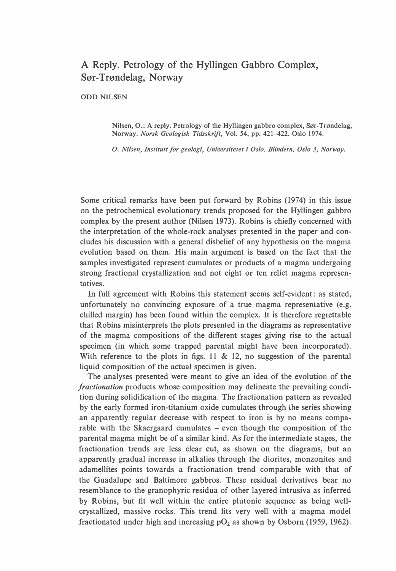## A Reply. Petrology of the Hyllingen Gabbro Complex, Sør-Trøndelag, Norway

**ODD NILSEN** 

Nilsen, O.: A reply. Petrology of the Hyllingen gabbro complex, Sør-Trøndelag, Norway. Norsk Geologisk Tidsskrift, Vol. 54, pp. 421-422. Oslo 1974.

O. Nilsen, Institutt for geologi, Universitetet i Oslo, Blindern, Oslo 3, Norway.

Some critical remarks have been put forward by Robins (1974) in this issue on the petrochemical evolutionary trends proposed for the Hyllingen gabbro complex by the present author (Nilsen 1973). Robins is chiefly concerned with the interpretation of the whole-rock analyses presented in the paper and concludes his discussion with a general disbelief of any hypothesis on the magma evolution based on them. His main argument is based on the fact that the samples investigated represent cumulates or products of a magma undergoing strong fractional crystallization and not eight or ten relict magma representatives.

In full agreement with Robins this statement seems self-evident: as stated, unfortunately no convincing exposure of a true magma representative (e.g. chilled margin) has been found within the complex. li is therefore regrettable that Robins misinterprets the plots presented in the diagrams as representative of the magma compositions of the different stages giving rise to the actual specimen (in which some trapped parental might have been incorporated). With reference to the plots in figs. 11 & 12, no suggestion of the parental liquid composition of the actual specimen is given.

The analyses presented were meant to give an idea of the evolution of the fractionation products whose composition may delineate the prevailing condition during solidification of the magma. The fractionation pattern as revealed by the early formed iron-titanium oxide cumulates through the series showing an apparently regular decrease with respect to iron is by no means comparable with the Skaergaard cumulates – even though the composition of the parental magma might be of a similar kind. As for the intermediate stages, the fractionation trends are less clear cut, as shown on the diagrams, but an apparently gradual increase in alkalies through the diorites, monzonites and adamellites points towards a fractionation trend comparable with that of the Guadalupe and Baltimore gabbros. These residual derivatives bear no resemblance to the granophyric residua of other layered intrusiva as inferred by Robins, but fit well within the entire plutonic sequence as being wellcrystallized, massive rocks. This trend fits very well with a magma model fractionated under high and increasing  $pO<sub>2</sub>$  as shown by Osborn (1959, 1962).